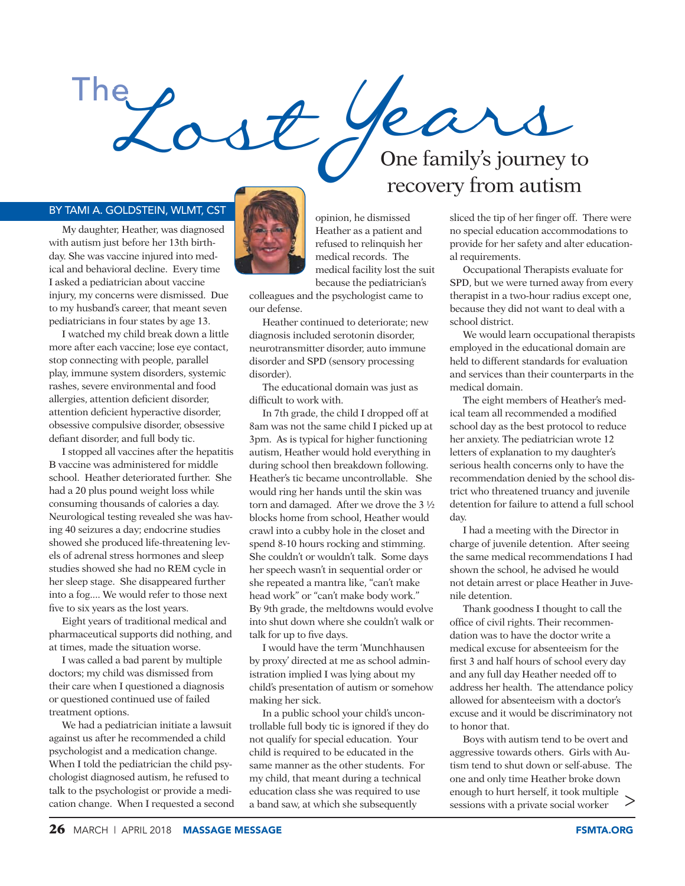

## BY TAMI A. GOLDSTEIN, WLMT, CST

My daughter, Heather, was diagnosed with autism just before her 13th birthday. She was vaccine injured into medical and behavioral decline. Every time I asked a pediatrician about vaccine injury, my concerns were dismissed. Due to my husband's career, that meant seven pediatricians in four states by age 13.

I watched my child break down a little more after each vaccine; lose eye contact, stop connecting with people, parallel play, immune system disorders, systemic rashes, severe environmental and food allergies, attention deficient disorder, attention deficient hyperactive disorder, obsessive compulsive disorder, obsessive defiant disorder, and full body tic.

I stopped all vaccines after the hepatitis B vaccine was administered for middle school. Heather deteriorated further. She had a 20 plus pound weight loss while consuming thousands of calories a day. Neurological testing revealed she was having 40 seizures a day; endocrine studies showed she produced life-threatening levels of adrenal stress hormones and sleep studies showed she had no REM cycle in her sleep stage. She disappeared further into a fog.... We would refer to those next five to six years as the lost years.

Eight years of traditional medical and pharmaceutical supports did nothing, and at times, made the situation worse.

I was called a bad parent by multiple doctors; my child was dismissed from their care when I questioned a diagnosis or questioned continued use of failed treatment options.

We had a pediatrician initiate a lawsuit against us after he recommended a child psychologist and a medication change. When I told the pediatrician the child psychologist diagnosed autism, he refused to talk to the psychologist or provide a medication change. When I requested a second



opinion, he dismissed Heather as a patient and refused to relinquish her medical records. The medical facility lost the suit because the pediatrician's

colleagues and the psychologist came to our defense.

Heather continued to deteriorate; new diagnosis included serotonin disorder, neurotransmitter disorder, auto immune disorder and SPD (sensory processing disorder).

The educational domain was just as difficult to work with.

In 7th grade, the child I dropped off at 8am was not the same child I picked up at 3pm. As is typical for higher functioning autism, Heather would hold everything in during school then breakdown following. Heather's tic became uncontrollable. She would ring her hands until the skin was torn and damaged. After we drove the 3 ½ blocks home from school, Heather would crawl into a cubby hole in the closet and spend 8-10 hours rocking and stimming. She couldn't or wouldn't talk. Some days her speech wasn't in sequential order or she repeated a mantra like, "can't make head work" or "can't make body work." By 9th grade, the meltdowns would evolve into shut down where she couldn't walk or talk for up to five days.

I would have the term 'Munchhausen by proxy' directed at me as school administration implied I was lying about my child's presentation of autism or somehow making her sick.

In a public school your child's uncontrollable full body tic is ignored if they do not qualify for special education. Your child is required to be educated in the same manner as the other students. For my child, that meant during a technical education class she was required to use a band saw, at which she subsequently

## recovery from autism

sliced the tip of her finger off. There were no special education accommodations to provide for her safety and alter educational requirements.

Occupational Therapists evaluate for SPD, but we were turned away from every therapist in a two-hour radius except one, because they did not want to deal with a school district.

We would learn occupational therapists employed in the educational domain are held to different standards for evaluation and services than their counterparts in the medical domain.

The eight members of Heather's medical team all recommended a modified school day as the best protocol to reduce her anxiety. The pediatrician wrote 12 letters of explanation to my daughter's serious health concerns only to have the recommendation denied by the school district who threatened truancy and juvenile detention for failure to attend a full school day.

I had a meeting with the Director in charge of juvenile detention. After seeing the same medical recommendations I had shown the school, he advised he would not detain arrest or place Heather in Juvenile detention.

Thank goodness I thought to call the office of civil rights. Their recommendation was to have the doctor write a medical excuse for absenteeism for the first 3 and half hours of school every day and any full day Heather needed off to address her health. The attendance policy allowed for absenteeism with a doctor's excuse and it would be discriminatory not to honor that.

Boys with autism tend to be overt and aggressive towards others. Girls with Autism tend to shut down or self-abuse. The one and only time Heather broke down enough to hurt herself, it took multiple sessions with a private social worker